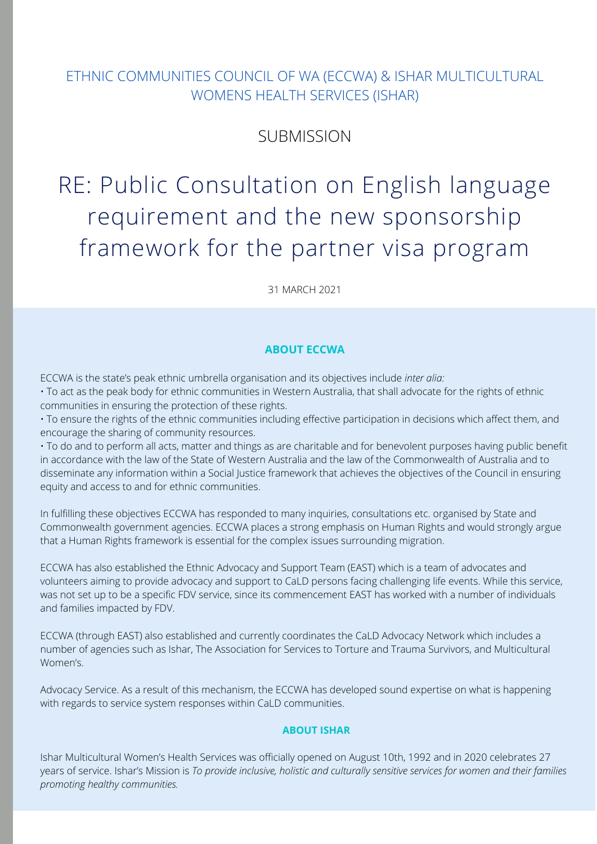## $\overline{a}$ and examination dates can be booked online. These agencies, could be ETHNIC COMMUNITIES COUNCIL OF WA (ECCWA) & ISHAR MULTICULTURAL WOMENS HEALTH SERVICES (ISHAR)

#### more basic test for women who may not have high levels of education due to  $V$ various factors. The Department should be into consideration in the consideration is the consideration in the consideration in  $V$ **SUBMISSION**

# RE: Public Consultation on English language of younger marriages and childbearing and create and offer a more basic requirement and the new sponsorship from owark for the portper vice program framework for the partner visa program

 $\frac{1}{24}$  MADCU and more quickly and more quickly and then writing  $\frac{1}{20}$ and comprehension take much longer to grasp. 31 MARCH 2021

#### $A = \frac{1}{2} \int_{0}^{2\pi} \int_{0}^{2\pi} \int_{0}^{2\pi} \int_{0}^{2\pi} \int_{0}^{2\pi} \int_{0}^{2\pi} \int_{0}^{2\pi} \int_{0}^{2\pi} \int_{0}^{2\pi} \int_{0}^{2\pi} \int_{0}^{2\pi} \int_{0}^{2\pi} \int_{0}^{2\pi} \int_{0}^{2\pi} \int_{0}^{2\pi} \int_{0}^{2\pi} \int_{0}^{2\pi} \int_{0}^{2\pi} \int_{0}^{2\pi} \int_{0}^{2\pi} \int_{0}^{2\pi} \$ English language listening, reading, writing and speaking skills. Applicants **ABOUT ECCWA**

ECCWA is the state's peak ethnic umbrella organisation and its objectives include *inter alia:* 

 $\cdot$  To act as the peak body for ethnic communities in Western Australia, that shall advocate for the rights of ethnic<br>communities in ensuring the protection of these rights communities in ensuring the protection of these rights.

• To ensure the rights of the ethnic communities including effective participation in decisions which affect them, and nage the sharing of community resources.<br>The United by the Department including including including including including including including including encourage the sharing of community resources.

course-based tests/assignments, verbal test, multiple-choice tests, short-in accordance with the law of the State of Western Australia and the law of the Commonwealth of Australia and to disseminate any information within a Social Justice framework that achieves the objectives of the Council in ensuring<br> their proficiency. • To do and to perform all acts, matter and things as are charitable and for benevolent purposes having public benefit equity and access to and for ethnic communities.

In fulfilling these objectives ECCWA has responded to many inquiries, consultations etc. organised by State and Commonwealth government agencies. ECCWA places a strong emphasis on Human Rights and would strongly argue that a Human Rights framework is essential for the complex issues surrounding migration.

ECCWA has also established the Ethnic Advocacy and Support Team (EAST) which is a team of advocates and<br>volunteers aiming to provide advocacy and support to Cal D persons fasing shallonging life quants. While this was not set up to be a specific FDV service, since its commencement EAST has worked with a number of individuals volunteers aiming to provide advocacy and support to CaLD persons facing challenging life events. While this service, and families impacted by FDV.

ECCWA (through EAST) also established and currently coordinates the CaLD Advocacy Network which includes a number of agencies such as Ishar, The Association for Services to Torture and Trauma Survivors, and Multicultural<br>. • Existence of intellectual or learning disabilities, some medical conditions Women's.

Advocacy Service. As a result of this mechanism, the ECCWA has developed sound expertise on what is happening with regards to service system responses within CaLD communities.<br>With regards to service system responses within CaLD communities.

## medical and health professionals, e.g. GP, Geriatrician, OT, Speech Therapist **ABOUT ISHAR**

Ishar Multicultural Women's Health Services was officially opened on August 10th, 1992 and in 2020 celebrates 27 years of service. Ishar's Mission is To provide inclusive, holistic and culturally sensitive services for women and their families minimal formal education for various cultural or practical reasons. Evidence *promoting healthy communities.*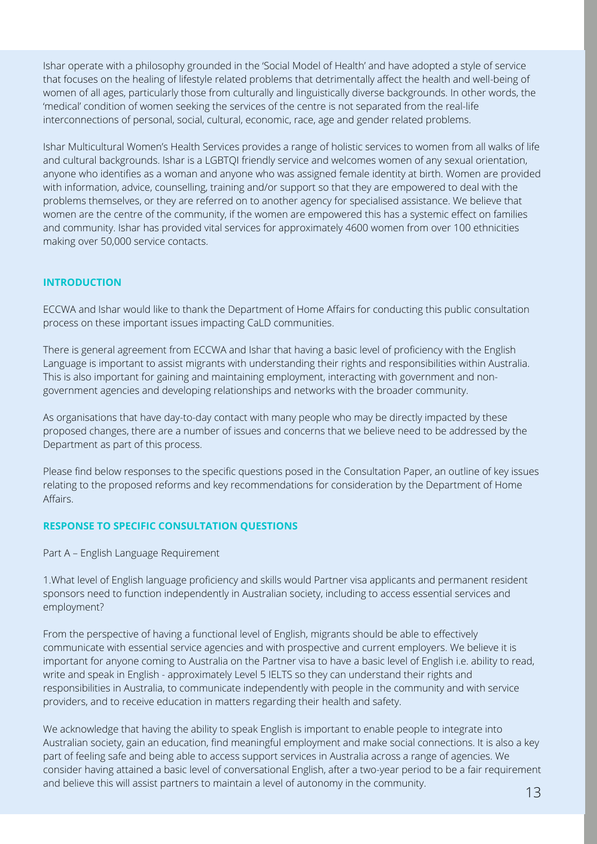Ishar operate with a philosophy grounded in the 'Social Model of Health' and have adopted a style of service that focuses on the healing of lifestyle related problems that detrimentally affect the health and well-being of women of all ages, particularly those from culturally and linguistically diverse backgrounds. In other words, the 'medical' condition of women seeking the services of the centre is not separated from the real-life interconnections of personal, social, cultural, economic, race, age and gender related problems.

Ishar Multicultural Women's Health Services provides a range of holistic services to women from all walks of life and cultural backgrounds. Ishar is a LGBTQI friendly service and welcomes women of any sexual orientation, anyone who identifies as a woman and anyone who was assigned female identity at birth. Women are provided with information, advice, counselling, training and/or support so that they are empowered to deal with the problems themselves, or they are referred on to another agency for specialised assistance. We believe that women are the centre of the community, if the women are empowered this has a systemic effect on families and community. Ishar has provided vital services for approximately 4600 women from over 100 ethnicities making over 50,000 service contacts.

### **INTRODUCTION**

ECCWA and Ishar would like to thank the Department of Home Affairs for conducting this public consultation process on these important issues impacting CaLD communities.

There is general agreement from ECCWA and Ishar that having a basic level of proficiency with the English Language is important to assist migrants with understanding their rights and responsibilities within Australia. This is also important for gaining and maintaining employment, interacting with government and nongovernment agencies and developing relationships and networks with the broader community.

As organisations that have day-to-day contact with many people who may be directly impacted by these proposed changes, there are a number of issues and concerns that we believe need to be addressed by the Department as part of this process.

Please find below responses to the specific questions posed in the Consultation Paper, an outline of key issues relating to the proposed reforms and key recommendations for consideration by the Department of Home Affairs.

#### **RESPONSE TO SPECIFIC CONSULTATION QUESTIONS**

Part A – English Language Requirement

1.What level of English language proficiency and skills would Partner visa applicants and permanent resident sponsors need to function independently in Australian society, including to access essential services and employment?

From the perspective of having a functional level of English, migrants should be able to effectively communicate with essential service agencies and with prospective and current employers. We believe it is important for anyone coming to Australia on the Partner visa to have a basic level of English i.e. ability to read, write and speak in English - approximately Level 5 IELTS so they can understand their rights and responsibilities in Australia, to communicate independently with people in the community and with service providers, and to receive education in matters regarding their health and safety.

We acknowledge that having the ability to speak English is important to enable people to integrate into Australian society, gain an education, find meaningful employment and make social connections. It is also a key part of feeling safe and being able to access support services in Australia across a range of agencies. We consider having attained a basic level of conversational English, after a two-year period to be a fair requirement and believe this will assist partners to maintain a level of autonomy in the community.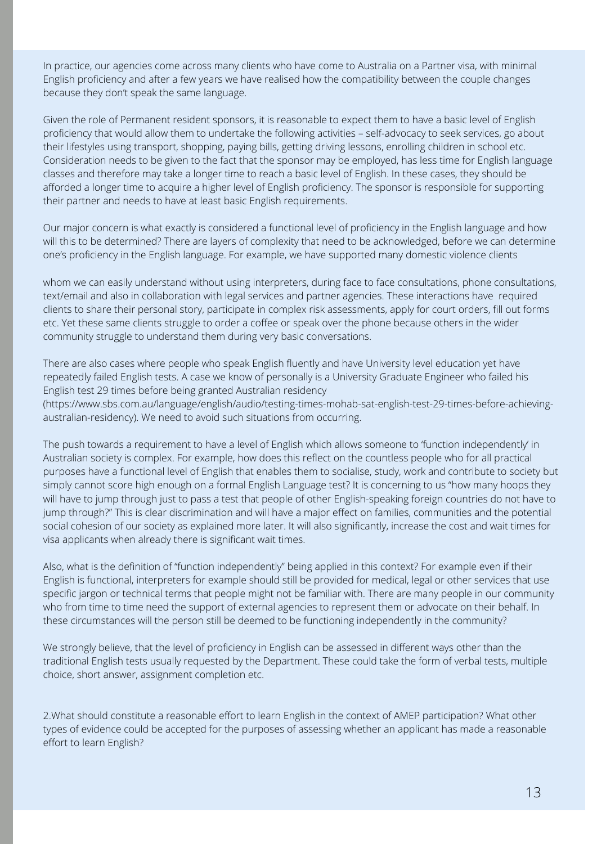In practice, our agencies come across many clients who have come to Australia on a Partner visa, with minimal English proficiency and after a few years we have realised how the compatibility between the couple changes because they don't speak the same language.

Given the role of Permanent resident sponsors, it is reasonable to expect them to have a basic level of English proficiency that would allow them to undertake the following activities – self-advocacy to seek services, go about their lifestyles using transport, shopping, paying bills, getting driving lessons, enrolling children in school etc. Consideration needs to be given to the fact that the sponsor may be employed, has less time for English language classes and therefore may take a longer time to reach a basic level of English. In these cases, they should be afforded a longer time to acquire a higher level of English proficiency. The sponsor is responsible for supporting their partner and needs to have at least basic English requirements.

Our major concern is what exactly is considered a functional level of proficiency in the English language and how will this to be determined? There are layers of complexity that need to be acknowledged, before we can determine one's proficiency in the English language. For example, we have supported many domestic violence clients

whom we can easily understand without using interpreters, during face to face consultations, phone consultations, text/email and also in collaboration with legal services and partner agencies. These interactions have required clients to share their personal story, participate in complex risk assessments, apply for court orders, fill out forms etc. Yet these same clients struggle to order a coffee or speak over the phone because others in the wider community struggle to understand them during very basic conversations.

There are also cases where people who speak English fluently and have University level education yet have repeatedly failed English tests. A case we know of personally is a University Graduate Engineer who failed his English test 29 times before being granted Australian residency [\(https://www.sbs.com.au/language/english/audio/testing-times-mohab-sat-english-test-29-times-before-achieving](https://www.sbs.com.au/language/english/audio/testing-times-mohab-sat-english-test-29-times-before-achieving-australian-residency)australian-residency). We need to avoid such situations from occurring.

The push towards a requirement to have a level of English which allows someone to 'function independently' in Australian society is complex. For example, how does this reflect on the countless people who for all practical purposes have a functional level of English that enables them to socialise, study, work and contribute to society but simply cannot score high enough on a formal English Language test? It is concerning to us "how many hoops they will have to jump through just to pass a test that people of other English-speaking foreign countries do not have to jump through?" This is clear discrimination and will have a major effect on families, communities and the potential social cohesion of our society as explained more later. It will also significantly, increase the cost and wait times for visa applicants when already there is significant wait times.

Also, what is the definition of "function independently" being applied in this context? For example even if their English is functional, interpreters for example should still be provided for medical, legal or other services that use specific jargon or technical terms that people might not be familiar with. There are many people in our community who from time to time need the support of external agencies to represent them or advocate on their behalf. In these circumstances will the person still be deemed to be functioning independently in the community?

We strongly believe, that the level of proficiency in English can be assessed in different ways other than the traditional English tests usually requested by the Department. These could take the form of verbal tests, multiple choice, short answer, assignment completion etc.

2.What should constitute a reasonable effort to learn English in the context of AMEP participation? What other types of evidence could be accepted for the purposes of assessing whether an applicant has made a reasonable effort to learn English?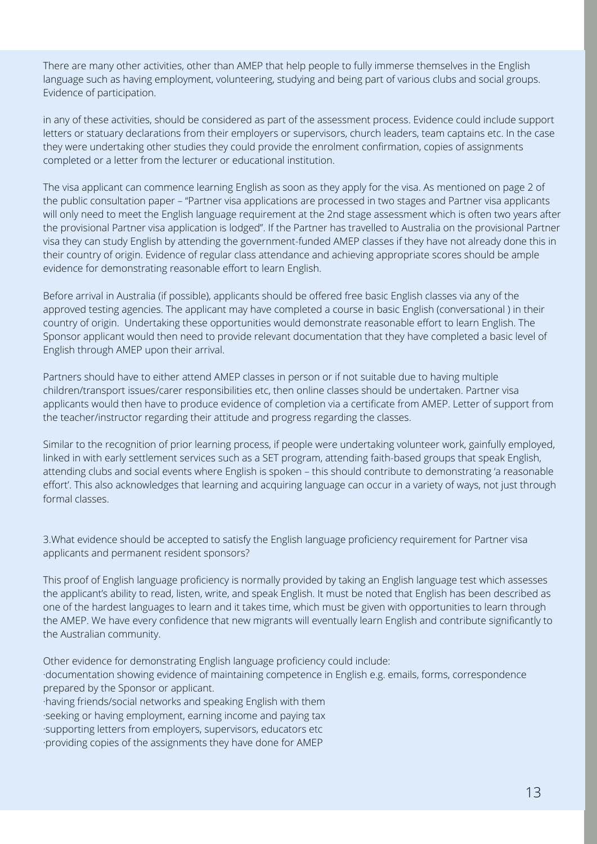There are many other activities, other than AMEP that help people to fully immerse themselves in the English language such as having employment, volunteering, studying and being part of various clubs and social groups. Evidence of participation.

in any of these activities, should be considered as part of the assessment process. Evidence could include support letters or statuary declarations from their employers or supervisors, church leaders, team captains etc. In the case they were undertaking other studies they could provide the enrolment confirmation, copies of assignments completed or a letter from the lecturer or educational institution.

The visa applicant can commence learning English as soon as they apply for the visa. As mentioned on page 2 of the public consultation paper – "Partner visa applications are processed in two stages and Partner visa applicants will only need to meet the English language requirement at the 2nd stage assessment which is often two years after the provisional Partner visa application is lodged". If the Partner has travelled to Australia on the provisional Partner visa they can study English by attending the government-funded AMEP classes if they have not already done this in their country of origin. Evidence of regular class attendance and achieving appropriate scores should be ample evidence for demonstrating reasonable effort to learn English.

Before arrival in Australia (if possible), applicants should be offered free basic English classes via any of the approved testing agencies. The applicant may have completed a course in basic English (conversational ) in their country of origin. Undertaking these opportunities would demonstrate reasonable effort to learn English. The Sponsor applicant would then need to provide relevant documentation that they have completed a basic level of English through AMEP upon their arrival.

Partners should have to either attend AMEP classes in person or if not suitable due to having multiple children/transport issues/carer responsibilities etc, then online classes should be undertaken. Partner visa applicants would then have to produce evidence of completion via a certificate from AMEP. Letter of support from the teacher/instructor regarding their attitude and progress regarding the classes.

Similar to the recognition of prior learning process, if people were undertaking volunteer work, gainfully employed, linked in with early settlement services such as a SET program, attending faith-based groups that speak English, attending clubs and social events where English is spoken – this should contribute to demonstrating 'a reasonable effort'. This also acknowledges that learning and acquiring language can occur in a variety of ways, not just through formal classes.

3.What evidence should be accepted to satisfy the English language proficiency requirement for Partner visa applicants and permanent resident sponsors?

This proof of English language proficiency is normally provided by taking an English language test which assesses the applicant's ability to read, listen, write, and speak English. It must be noted that English has been described as one of the hardest languages to learn and it takes time, which must be given with opportunities to learn through the AMEP. We have every confidence that new migrants will eventually learn English and contribute significantly to the Australian community.

Other evidence for demonstrating English language proficiency could include:

·documentation showing evidence of maintaining competence in English e.g. emails, forms, correspondence prepared by the Sponsor or applicant.

·having friends/social networks and speaking English with them ·seeking or having employment, earning income and paying tax ·supporting letters from employers, supervisors, educators etc ·providing copies of the assignments they have done for AMEP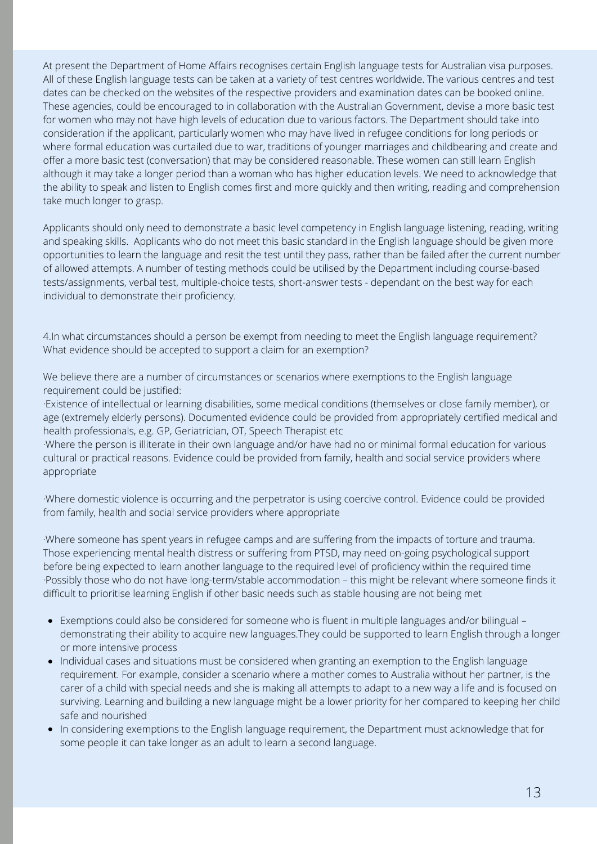At present the Department of Home Affairs recognises certain English language tests for Australian visa purposes. All of these English language tests can be taken at a variety of test centres worldwide. The various centres and test dates can be checked on the websites of the respective providers and examination dates can be booked online. These agencies, could be encouraged to in collaboration with the Australian Government, devise a more basic test for women who may not have high levels of education due to various factors. The Department should take into consideration if the applicant, particularly women who may have lived in refugee conditions for long periods or where formal education was curtailed due to war, traditions of younger marriages and childbearing and create and offer a more basic test (conversation) that may be considered reasonable. These women can still learn English although it may take a longer period than a woman who has higher education levels. We need to acknowledge that the ability to speak and listen to English comes first and more quickly and then writing, reading and comprehension take much longer to grasp.

Applicants should only need to demonstrate a basic level competency in English language listening, reading, writing and speaking skills. Applicants who do not meet this basic standard in the English language should be given more opportunities to learn the language and resit the test until they pass, rather than be failed after the current number of allowed attempts. A number of testing methods could be utilised by the Department including course-based tests/assignments, verbal test, multiple-choice tests, short-answer tests - dependant on the best way for each individual to demonstrate their proficiency.

4.In what circumstances should a person be exempt from needing to meet the English language requirement? What evidence should be accepted to support a claim for an exemption?

We believe there are a number of circumstances or scenarios where exemptions to the English language requirement could be justified:

·Existence of intellectual or learning disabilities, some medical conditions (themselves or close family member), or age (extremely elderly persons). Documented evidence could be provided from appropriately certified medical and health professionals, e.g. GP, Geriatrician, OT, Speech Therapist etc

·Where the person is illiterate in their own language and/or have had no or minimal formal education for various cultural or practical reasons. Evidence could be provided from family, health and social service providers where appropriate

·Where domestic violence is occurring and the perpetrator is using coercive control. Evidence could be provided from family, health and social service providers where appropriate

·Where someone has spent years in refugee camps and are suffering from the impacts of torture and trauma. Those experiencing mental health distress or suffering from PTSD, may need on-going psychological support before being expected to learn another language to the required level of proficiency within the required time ·Possibly those who do not have long-term/stable accommodation – this might be relevant where someone finds it difficult to prioritise learning English if other basic needs such as stable housing are not being met

- Exemptions could also be considered for someone who is fluent in multiple languages and/or bilingual demonstrating their ability to acquire new languages.They could be supported to learn English through a longer or more intensive process
- Individual cases and situations must be considered when granting an exemption to the English language requirement. For example, consider a scenario where a mother comes to Australia without her partner, is the carer of a child with special needs and she is making all attempts to adapt to a new way a life and is focused on surviving. Learning and building a new language might be a lower priority for her compared to keeping her child safe and nourished
- In considering exemptions to the English language requirement, the Department must acknowledge that for some people it can take longer as an adult to learn a second language.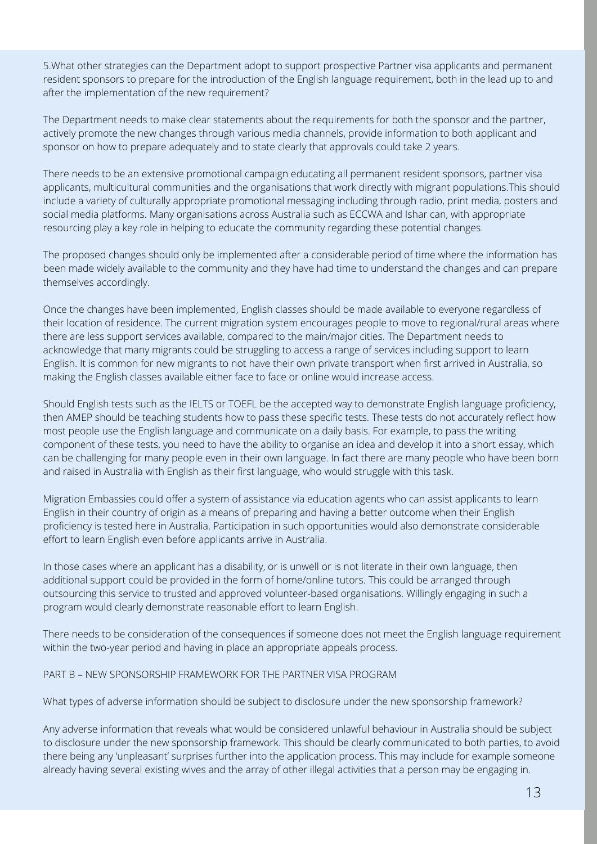5.What other strategies can the Department adopt to support prospective Partner visa applicants and permanent resident sponsors to prepare for the introduction of the English language requirement, both in the lead up to and after the implementation of the new requirement?

The Department needs to make clear statements about the requirements for both the sponsor and the partner, actively promote the new changes through various media channels, provide information to both applicant and sponsor on how to prepare adequately and to state clearly that approvals could take 2 years.

There needs to be an extensive promotional campaign educating all permanent resident sponsors, partner visa applicants, multicultural communities and the organisations that work directly with migrant populations.This should include a variety of culturally appropriate promotional messaging including through radio, print media, posters and social media platforms. Many organisations across Australia such as ECCWA and Ishar can, with appropriate resourcing play a key role in helping to educate the community regarding these potential changes.

The proposed changes should only be implemented after a considerable period of time where the information has been made widely available to the community and they have had time to understand the changes and can prepare themselves accordingly.

Once the changes have been implemented, English classes should be made available to everyone regardless of their location of residence. The current migration system encourages people to move to regional/rural areas where there are less support services available, compared to the main/major cities. The Department needs to acknowledge that many migrants could be struggling to access a range of services including support to learn English. It is common for new migrants to not have their own private transport when first arrived in Australia, so making the English classes available either face to face or online would increase access.

Should English tests such as the IELTS or TOEFL be the accepted way to demonstrate English language proficiency, then AMEP should be teaching students how to pass these specific tests. These tests do not accurately reflect how most people use the English language and communicate on a daily basis. For example, to pass the writing component of these tests, you need to have the ability to organise an idea and develop it into a short essay, which can be challenging for many people even in their own language. In fact there are many people who have been born and raised in Australia with English as their first language, who would struggle with this task.

Migration Embassies could offer a system of assistance via education agents who can assist applicants to learn English in their country of origin as a means of preparing and having a better outcome when their English proficiency is tested here in Australia. Participation in such opportunities would also demonstrate considerable effort to learn English even before applicants arrive in Australia.

In those cases where an applicant has a disability, or is unwell or is not literate in their own language, then additional support could be provided in the form of home/online tutors. This could be arranged through outsourcing this service to trusted and approved volunteer-based organisations. Willingly engaging in such a program would clearly demonstrate reasonable effort to learn English.

There needs to be consideration of the consequences if someone does not meet the English language requirement within the two-year period and having in place an appropriate appeals process.

PART B – NEW SPONSORSHIP FRAMEWORK FOR THE PARTNER VISA PROGRAM

What types of adverse information should be subject to disclosure under the new sponsorship framework?

Any adverse information that reveals what would be considered unlawful behaviour in Australia should be subject to disclosure under the new sponsorship framework. This should be clearly communicated to both parties, to avoid there being any 'unpleasant' surprises further into the application process. This may include for example someone already having several existing wives and the array of other illegal activities that a person may be engaging in.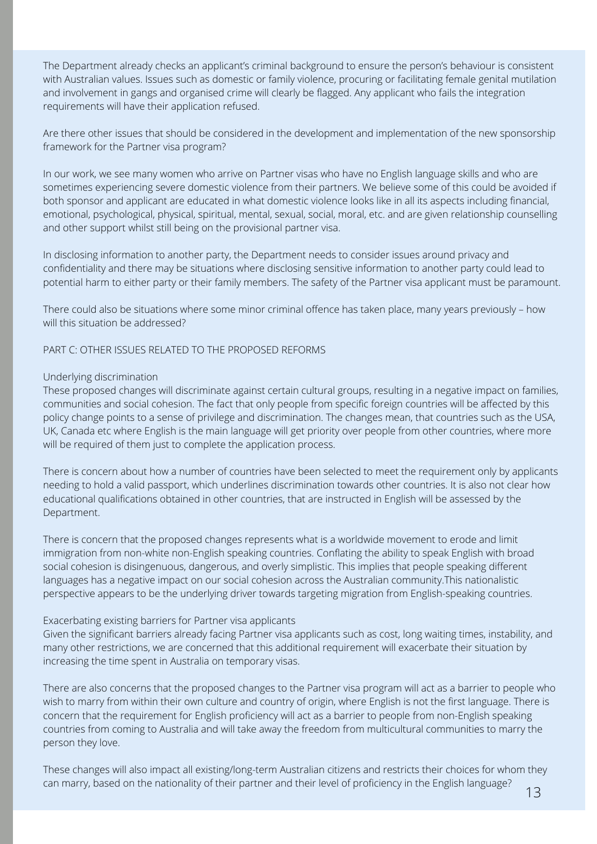The Department already checks an applicant's criminal background to ensure the person's behaviour is consistent with Australian values. Issues such as domestic or family violence, procuring or facilitating female genital mutilation and involvement in gangs and organised crime will clearly be flagged. Any applicant who fails the integration requirements will have their application refused.

Are there other issues that should be considered in the development and implementation of the new sponsorship framework for the Partner visa program?

In our work, we see many women who arrive on Partner visas who have no English language skills and who are sometimes experiencing severe domestic violence from their partners. We believe some of this could be avoided if both sponsor and applicant are educated in what domestic violence looks like in all its aspects including financial, emotional, psychological, physical, spiritual, mental, sexual, social, moral, etc. and are given relationship counselling and other support whilst still being on the provisional partner visa.

In disclosing information to another party, the Department needs to consider issues around privacy and confidentiality and there may be situations where disclosing sensitive information to another party could lead to potential harm to either party or their family members. The safety of the Partner visa applicant must be paramount.

There could also be situations where some minor criminal offence has taken place, many years previously – how will this situation be addressed?

PART C: OTHER ISSUES RELATED TO THE PROPOSED REFORMS

#### Underlying discrimination

These proposed changes will discriminate against certain cultural groups, resulting in a negative impact on families, communities and social cohesion. The fact that only people from specific foreign countries will be affected by this policy change points to a sense of privilege and discrimination. The changes mean, that countries such as the USA, UK, Canada etc where English is the main language will get priority over people from other countries, where more will be required of them just to complete the application process.

There is concern about how a number of countries have been selected to meet the requirement only by applicants needing to hold a valid passport, which underlines discrimination towards other countries. It is also not clear how educational qualifications obtained in other countries, that are instructed in English will be assessed by the Department.

There is concern that the proposed changes represents what is a worldwide movement to erode and limit immigration from non-white non-English speaking countries. Conflating the ability to speak English with broad social cohesion is disingenuous, dangerous, and overly simplistic. This implies that people speaking different languages has a negative impact on our social cohesion across the Australian community.This nationalistic perspective appears to be the underlying driver towards targeting migration from English-speaking countries.

#### Exacerbating existing barriers for Partner visa applicants

Given the significant barriers already facing Partner visa applicants such as cost, long waiting times, instability, and many other restrictions, we are concerned that this additional requirement will exacerbate their situation by increasing the time spent in Australia on temporary visas.

There are also concerns that the proposed changes to the Partner visa program will act as a barrier to people who wish to marry from within their own culture and country of origin, where English is not the first language. There is concern that the requirement for English proficiency will act as a barrier to people from non-English speaking countries from coming to Australia and will take away the freedom from multicultural communities to marry the person they love.

These changes will also impact all existing/long-term Australian citizens and restricts their choices for whom they can marry, based on the nationality of their partner and their level of proficiency in the English language?